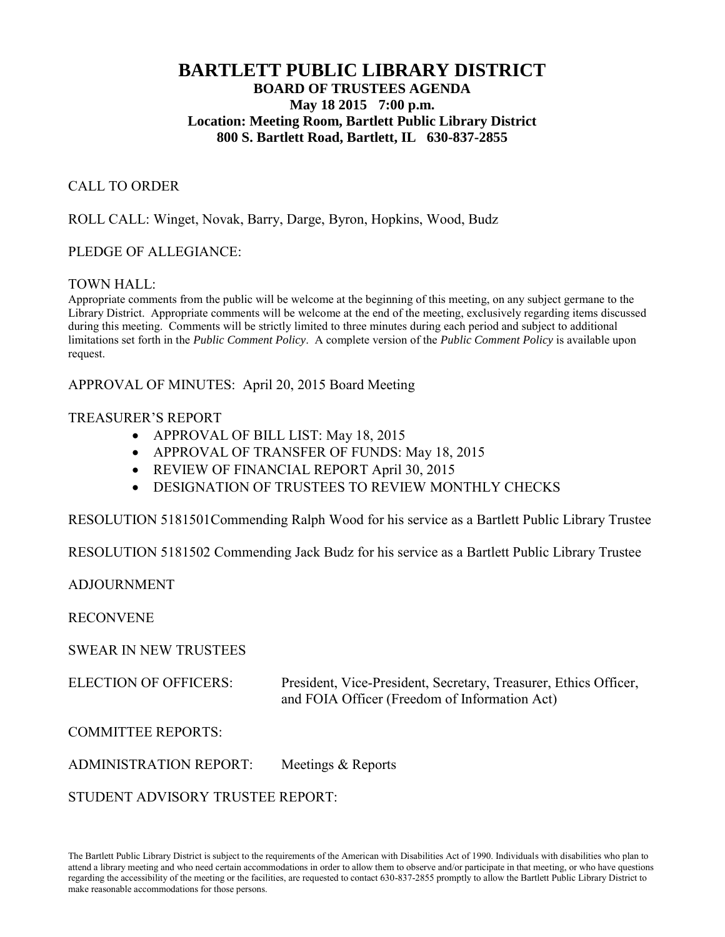# **BARTLETT PUBLIC LIBRARY DISTRICT BOARD OF TRUSTEES AGENDA May 18 2015 7:00 p.m. Location: Meeting Room, Bartlett Public Library District 800 S. Bartlett Road, Bartlett, IL 630-837-2855**

## CALL TO ORDER

ROLL CALL: Winget, Novak, Barry, Darge, Byron, Hopkins, Wood, Budz

## PLEDGE OF ALLEGIANCE:

## TOWN HALL:

Appropriate comments from the public will be welcome at the beginning of this meeting, on any subject germane to the Library District. Appropriate comments will be welcome at the end of the meeting, exclusively regarding items discussed during this meeting. Comments will be strictly limited to three minutes during each period and subject to additional limitations set forth in the *Public Comment Policy*. A complete version of the *Public Comment Policy* is available upon request.

APPROVAL OF MINUTES: April 20, 2015 Board Meeting

## TREASURER'S REPORT

- APPROVAL OF BILL LIST: May 18, 2015
- APPROVAL OF TRANSFER OF FUNDS: May 18, 2015
- REVIEW OF FINANCIAL REPORT April 30, 2015
- **DESIGNATION OF TRUSTEES TO REVIEW MONTHLY CHECKS**

RESOLUTION 5181501Commending Ralph Wood for his service as a Bartlett Public Library Trustee

RESOLUTION 5181502 Commending Jack Budz for his service as a Bartlett Public Library Trustee

ADJOURNMENT

RECONVENE

SWEAR IN NEW TRUSTEES

ELECTION OF OFFICERS: President, Vice-President, Secretary, Treasurer, Ethics Officer, and FOIA Officer (Freedom of Information Act)

COMMITTEE REPORTS:

ADMINISTRATION REPORT: Meetings & Reports

STUDENT ADVISORY TRUSTEE REPORT: